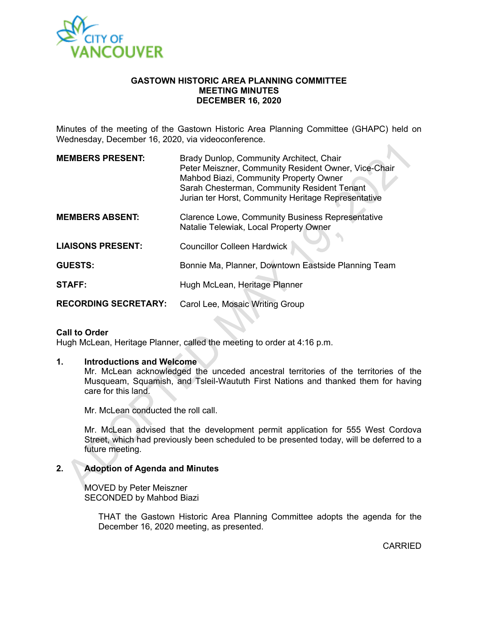

#### **GASTOWN HISTORIC AREA PLANNING COMMITTEE MEETING MINUTES DECEMBER 16, 2020**

Minutes of the meeting of the Gastown Historic Area Planning Committee (GHAPC) held on Wednesday, December 16, 2020, via videoconference.

| <b>MEMBERS PRESENT:</b>     | Brady Dunlop, Community Architect, Chair<br>Peter Meiszner, Community Resident Owner, Vice-Chair<br>Mahbod Biazi, Community Property Owner<br>Sarah Chesterman, Community Resident Tenant<br>Jurian ter Horst, Community Heritage Representative |
|-----------------------------|--------------------------------------------------------------------------------------------------------------------------------------------------------------------------------------------------------------------------------------------------|
| <b>MEMBERS ABSENT:</b>      | <b>Clarence Lowe, Community Business Representative</b><br>Natalie Telewiak, Local Property Owner                                                                                                                                                |
| <b>LIAISONS PRESENT:</b>    | <b>Councillor Colleen Hardwick</b>                                                                                                                                                                                                               |
| <b>GUESTS:</b>              | Bonnie Ma, Planner, Downtown Eastside Planning Team                                                                                                                                                                                              |
| <b>STAFF:</b>               | Hugh McLean, Heritage Planner                                                                                                                                                                                                                    |
| <b>RECORDING SECRETARY:</b> | Carol Lee, Mosaic Writing Group                                                                                                                                                                                                                  |

#### **Call to Order**

Hugh McLean, Heritage Planner, called the meeting to order at 4:16 p.m.

#### **1. Introductions and Welcome**

Mr. McLean acknowledged the unceded ancestral territories of the territories of the Musqueam, Squamish, and Tsleil-Waututh First Nations and thanked them for having care for this land.

Mr. McLean conducted the roll call.

Mr. McLean advised that the development permit application for 555 West Cordova Street, which had previously been scheduled to be presented today, will be deferred to a future meeting.

## **2. Adoption of Agenda and Minutes**

MOVED by Peter Meiszner SECONDED by Mahbod Biazi

> THAT the Gastown Historic Area Planning Committee adopts the agenda for the December 16, 2020 meeting, as presented.

> > CARRIED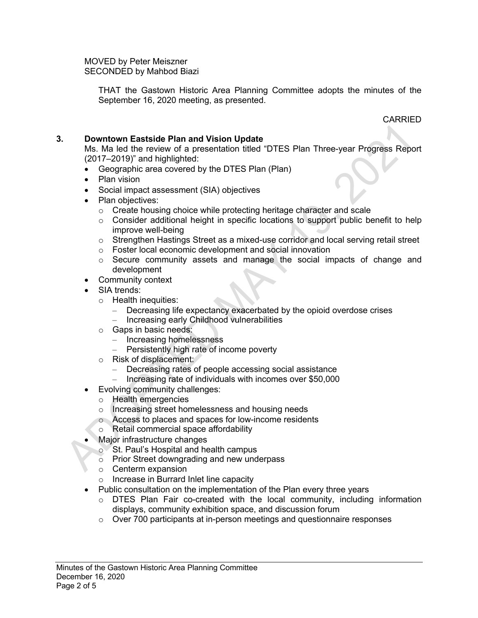MOVED by Peter Meiszner SECONDED by Mahbod Biazi

> THAT the Gastown Historic Area Planning Committee adopts the minutes of the September 16, 2020 meeting, as presented.

> > CARRIED

## **3. Downtown Eastside Plan and Vision Update**

Ms. Ma led the review of a presentation titled "DTES Plan Three-year Progress Report (2017–2019)" and highlighted:

- Geographic area covered by the DTES Plan (Plan)
- Plan vision
- Social impact assessment (SIA) objectives
- Plan objectives:
	- o Create housing choice while protecting heritage character and scale
	- o Consider additional height in specific locations to support public benefit to help improve well-being
	- o Strengthen Hastings Street as a mixed-use corridor and local serving retail street
	- o Foster local economic development and social innovation
	- o Secure community assets and manage the social impacts of change and development
- Community context
- SIA trends:
	- o Health inequities:
		- Decreasing life expectancy exacerbated by the opioid overdose crises
		- Increasing early Childhood vulnerabilities
	- o Gaps in basic needs:
		- Increasing homelessness
		- Persistently high rate of income poverty
	- o Risk of displacement:
		- Decreasing rates of people accessing social assistance
			- Increasing rate of individuals with incomes over \$50,000
- Evolving community challenges:
	- o Health emergencies
	- o Increasing street homelessness and housing needs
	- o Access to places and spaces for low-income residents
	- o Retail commercial space affordability
- Major infrastructure changes
	- o St. Paul's Hospital and health campus
	- o Prior Street downgrading and new underpass
	- o Centerm expansion
	- o Increase in Burrard Inlet line capacity
- Public consultation on the implementation of the Plan every three years
	- $\circ$  DTES Plan Fair co-created with the local community, including information displays, community exhibition space, and discussion forum
	- $\circ$  Over 700 participants at in-person meetings and questionnaire responses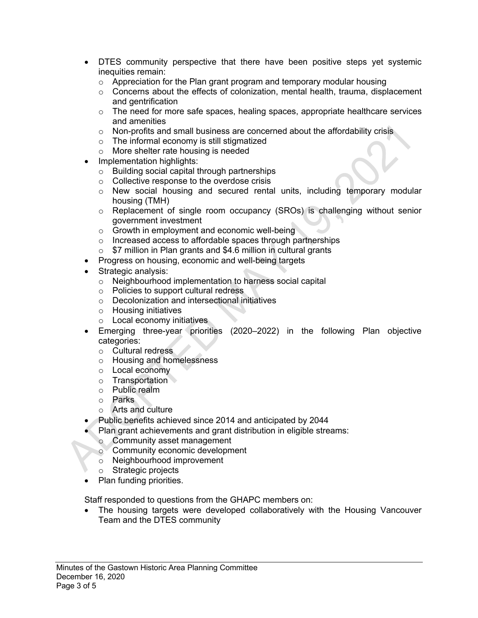- DTES community perspective that there have been positive steps yet systemic inequities remain:
	- o Appreciation for the Plan grant program and temporary modular housing
	- o Concerns about the effects of colonization, mental health, trauma, displacement and gentrification
	- o The need for more safe spaces, healing spaces, appropriate healthcare services and amenities
	- $\circ$  Non-profits and small business are concerned about the affordability crisis
	- o The informal economy is still stigmatized
	- o More shelter rate housing is needed
- Implementation highlights:
	- o Building social capital through partnerships
	- o Collective response to the overdose crisis
	- o New social housing and secured rental units, including temporary modular housing (TMH)
	- o Replacement of single room occupancy (SROs) is challenging without senior government investment
	- o Growth in employment and economic well-being
	- o Increased access to affordable spaces through partnerships
	- $\circ$  \$7 million in Plan grants and \$4.6 million in cultural grants
- Progress on housing, economic and well-being targets
- Strategic analysis:
	- o Neighbourhood implementation to harness social capital
	- o Policies to support cultural redress
	- o Decolonization and intersectional initiatives
	- o Housing initiatives
	- o Local economy initiatives
- Emerging three-year priorities (2020–2022) in the following Plan objective categories:
	- o Cultural redress
	- o Housing and homelessness
	- o Local economy
	- o Transportation
	- o Public realm
	- o Parks
	- o Arts and culture
- Public benefits achieved since 2014 and anticipated by 2044
- Plan grant achievements and grant distribution in eligible streams:
	- o Community asset management
	- o Community economic development
	- o Neighbourhood improvement
	- o Strategic projects
- Plan funding priorities.

Staff responded to questions from the GHAPC members on:

• The housing targets were developed collaboratively with the Housing Vancouver Team and the DTES community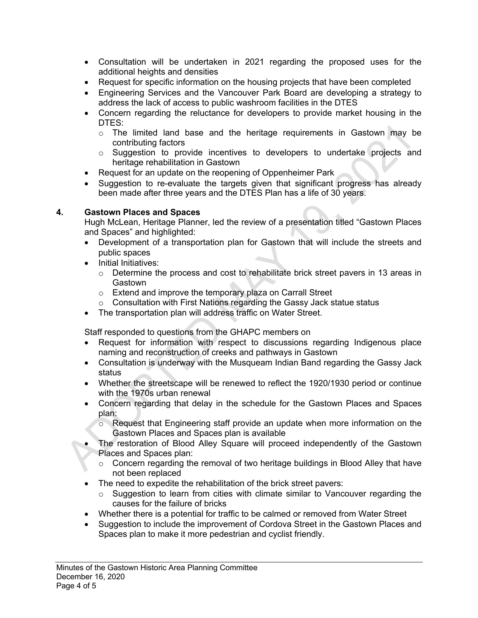- Consultation will be undertaken in 2021 regarding the proposed uses for the additional heights and densities
- Request for specific information on the housing projects that have been completed
- Engineering Services and the Vancouver Park Board are developing a strategy to address the lack of access to public washroom facilities in the DTES
- Concern regarding the reluctance for developers to provide market housing in the DTES:
	- o The limited land base and the heritage requirements in Gastown may be contributing factors
	- $\circ$  Suggestion to provide incentives to developers to undertake projects and heritage rehabilitation in Gastown
- Request for an update on the reopening of Oppenheimer Park
- Suggestion to re-evaluate the targets given that significant progress has already been made after three years and the DTES Plan has a life of 30 years.

## **4. Gastown Places and Spaces**

Hugh McLean, Heritage Planner, led the review of a presentation titled "Gastown Places and Spaces" and highlighted:

- Development of a transportation plan for Gastown that will include the streets and public spaces
- Initial Initiatives:
	- $\circ$  Determine the process and cost to rehabilitate brick street pavers in 13 areas in **Gastown**
	- o Extend and improve the temporary plaza on Carrall Street
	- o Consultation with First Nations regarding the Gassy Jack statue status
- The transportation plan will address traffic on Water Street.

Staff responded to questions from the GHAPC members on

- Request for information with respect to discussions regarding Indigenous place naming and reconstruction of creeks and pathways in Gastown
- Consultation is underway with the Musqueam Indian Band regarding the Gassy Jack status
- Whether the streetscape will be renewed to reflect the 1920/1930 period or continue with the 1970s urban renewal
- Concern regarding that delay in the schedule for the Gastown Places and Spaces plan:
	- o Request that Engineering staff provide an update when more information on the Gastown Places and Spaces plan is available
- The restoration of Blood Alley Square will proceed independently of the Gastown Places and Spaces plan:
	- o Concern regarding the removal of two heritage buildings in Blood Alley that have not been replaced
- The need to expedite the rehabilitation of the brick street pavers:
	- o Suggestion to learn from cities with climate similar to Vancouver regarding the causes for the failure of bricks
- Whether there is a potential for traffic to be calmed or removed from Water Street
- Suggestion to include the improvement of Cordova Street in the Gastown Places and Spaces plan to make it more pedestrian and cyclist friendly.